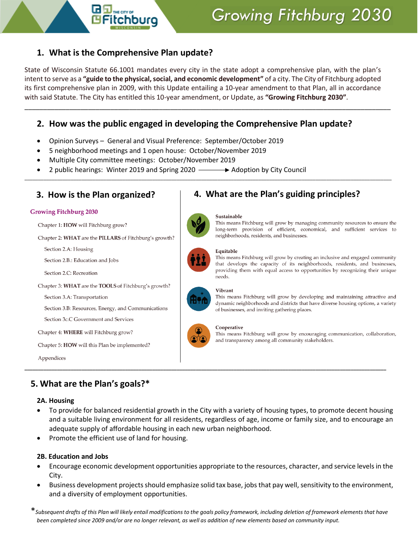

## **1. What is the Comprehensive Plan update?**

State of Wisconsin Statute 66.1001 mandates every city in the state adopt a comprehensive plan, with the plan's intent to serve as a **"guide to the physical, social, and economic development"** of a city. The City of Fitchburg adopted its first comprehensive plan in 2009, with this Update entailing a 10-year amendment to that Plan, all in accordance with said Statute. The City has entitled this 10-year amendment, or Update, as **"Growing Fitchburg 2030"**.

\_\_\_\_\_\_\_\_\_\_\_\_\_\_\_\_\_\_\_\_\_\_\_\_\_\_\_\_\_\_\_\_\_\_\_\_\_\_\_\_\_\_\_\_\_\_\_\_\_\_\_\_\_\_\_\_\_\_\_\_\_\_\_\_\_\_\_\_\_\_\_\_\_\_\_\_\_\_\_\_\_\_\_\_\_\_\_\_\_\_\_\_\_\_\_\_\_\_

\_\_\_\_\_\_\_\_\_\_\_\_\_\_\_\_\_\_\_\_\_\_\_\_\_\_\_\_\_\_\_\_\_\_\_\_\_\_\_\_\_\_\_\_\_\_\_\_\_\_\_\_\_\_\_\_\_\_\_\_\_\_\_\_\_\_\_\_\_\_\_\_\_\_\_\_\_\_\_\_\_\_\_\_\_\_\_\_\_\_\_\_\_\_\_\_\_\_\_\_\_\_\_\_\_\_\_\_\_\_\_\_\_\_\_\_\_\_\_\_\_\_\_\_\_\_\_\_\_\_\_\_\_\_\_

## **2. How was the public engaged in developing the Comprehensive Plan update?**

- Opinion Surveys General and Visual Preference: September/October 2019
- 5 neighborhood meetings and 1 open house: October/November 2019
- Multiple City committee meetings: October/November 2019
- 2 public hearings: Winter 2019 and Spring 2020  $\longrightarrow$  Adoption by City Council

### **Growing Fitchburg 2030**

Chapter 1: HOW will Fitchburg grow?

Chapter 2: WHAT are the PILLARS of Fitchburg's growth?

Section 2.A: Housing

Section 2.B.: Education and Jobs

Section 2.C: Recreation

Chapter 3: WHAT are the TOOLS of Fitchburg's growth?

Section 3.A: Transportation

Section 3.B: Resources, Energy, and Communications

Section 3c.C Government and Services

Chapter 4: WHERE will Fitchburg grow?

Chapter 5: HOW will this Plan be implemented?

Appendices

## **5. What are the Plan's goals?\***

### **2A. Housing**

- To provide for balanced residential growth in the City with a variety of housing types, to promote decent housing and a suitable living environment for all residents, regardless of age, income or family size, and to encourage an adequate supply of affordable housing in each new urban neighborhood.
- Promote the efficient use of land for housing.

## **2B. Education and Jobs**

- Encourage economic development opportunities appropriate to the resources, character, and service levels in the City.
- Business development projects should emphasize solid tax base, jobs that pay well, sensitivity to the environment, and a diversity of employment opportunities.

\**Subsequent drafts of this Plan will likely entail modifications to the goals policy framework, including deletion of framework elements that have been completed since 2009 and/or are no longer relevant, as well as addition of new elements based on community input.*

# **3. How is the Plan organized? 4. What are the Plan's guiding principles?**

# Sustainable

This means Fitchburg will grow by managing community resources to ensure the long-term provision of efficient, economical, and sufficient services to neighborhoods, residents, and businesses.



This means Fitchburg will grow by creating an inclusive and engaged community that develops the capacity of its neighborhoods, residents, and businesses, providing them with equal access to opportunities by recognizing their unique needs.



### Vibrant

This means Fitchburg will grow by developing and maintaining attractive and dynamic neighborhoods and districts that have diverse housing options, a variety of businesses, and inviting gathering places.



**\_\_\_\_\_\_\_\_\_\_\_\_\_\_\_\_\_\_\_\_\_\_\_\_\_\_\_\_\_\_\_\_\_\_\_\_\_\_\_\_\_\_\_\_\_\_\_\_\_\_\_\_\_\_\_\_\_\_\_\_\_\_\_\_\_\_\_\_\_\_\_\_\_\_\_\_\_\_\_\_\_\_\_\_\_\_\_\_\_\_\_\_\_\_\_\_\_\_\_\_\_\_\_\_\_\_\_\_\_\_\_\_\_\_\_\_\_\_\_\_\_\_\_\_\_\_\_\_\_\_\_\_\_**

### Cooperative

This means Fitchburg will grow by encouraging communication, collaboration, and transparency among all community stakeholders.